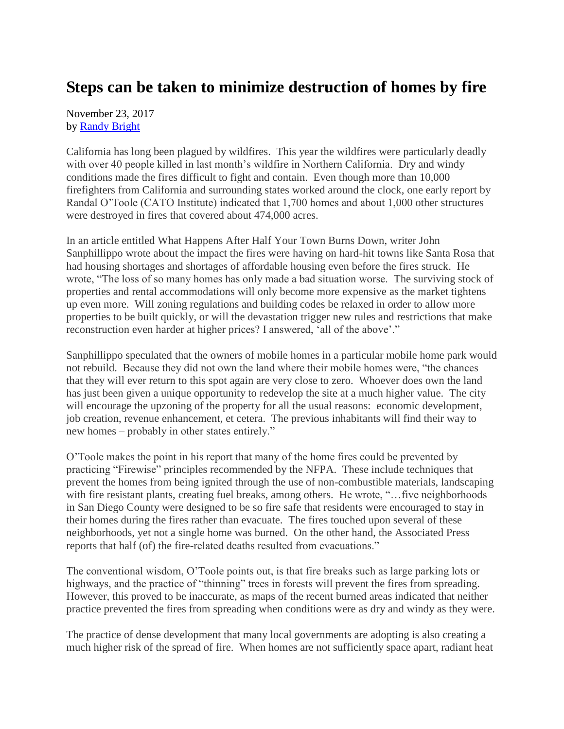## **Steps can be taken to minimize destruction of homes by fire**

November 23, 2017 by [Randy Bright](http://tulsabeacon.com/writers/randy-bright/)

California has long been plagued by wildfires. This year the wildfires were particularly deadly with over 40 people killed in last month's wildfire in Northern California. Dry and windy conditions made the fires difficult to fight and contain. Even though more than 10,000 firefighters from California and surrounding states worked around the clock, one early report by Randal O'Toole (CATO Institute) indicated that 1,700 homes and about 1,000 other structures were destroyed in fires that covered about 474,000 acres.

In an article entitled What Happens After Half Your Town Burns Down, writer John Sanphillippo wrote about the impact the fires were having on hard-hit towns like Santa Rosa that had housing shortages and shortages of affordable housing even before the fires struck. He wrote, "The loss of so many homes has only made a bad situation worse. The surviving stock of properties and rental accommodations will only become more expensive as the market tightens up even more. Will zoning regulations and building codes be relaxed in order to allow more properties to be built quickly, or will the devastation trigger new rules and restrictions that make reconstruction even harder at higher prices? I answered, 'all of the above'."

Sanphillippo speculated that the owners of mobile homes in a particular mobile home park would not rebuild. Because they did not own the land where their mobile homes were, "the chances that they will ever return to this spot again are very close to zero. Whoever does own the land has just been given a unique opportunity to redevelop the site at a much higher value. The city will encourage the upzoning of the property for all the usual reasons: economic development, job creation, revenue enhancement, et cetera. The previous inhabitants will find their way to new homes – probably in other states entirely."

O'Toole makes the point in his report that many of the home fires could be prevented by practicing "Firewise" principles recommended by the NFPA. These include techniques that prevent the homes from being ignited through the use of non-combustible materials, landscaping with fire resistant plants, creating fuel breaks, among others. He wrote, "... five neighborhoods in San Diego County were designed to be so fire safe that residents were encouraged to stay in their homes during the fires rather than evacuate. The fires touched upon several of these neighborhoods, yet not a single home was burned. On the other hand, the Associated Press reports that half (of) the fire-related deaths resulted from evacuations."

The conventional wisdom, O'Toole points out, is that fire breaks such as large parking lots or highways, and the practice of "thinning" trees in forests will prevent the fires from spreading. However, this proved to be inaccurate, as maps of the recent burned areas indicated that neither practice prevented the fires from spreading when conditions were as dry and windy as they were.

The practice of dense development that many local governments are adopting is also creating a much higher risk of the spread of fire. When homes are not sufficiently space apart, radiant heat